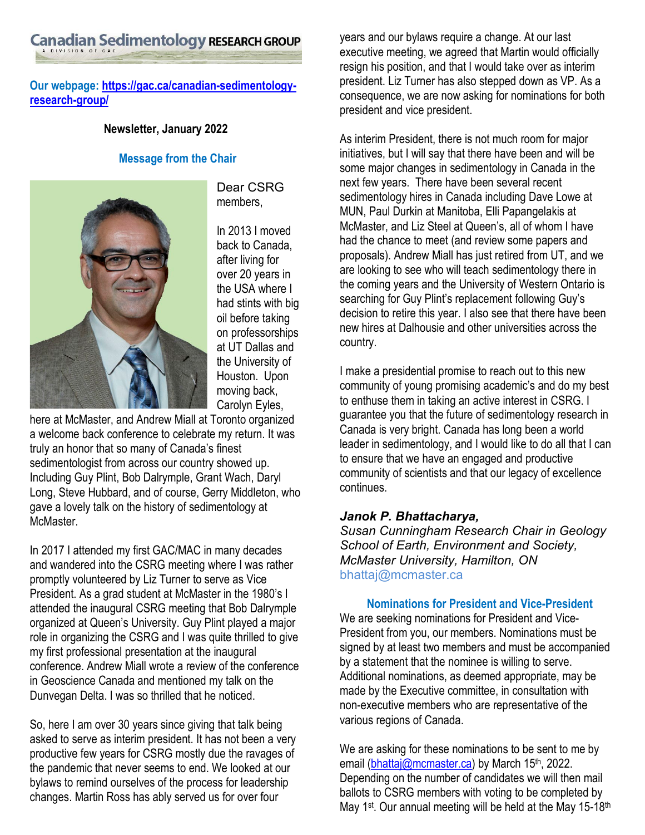# Canadian Sedimentology RESEARCH GROUP

# **Our webpage[: https://gac.ca/canadian-sedimentology](https://gac.ca/canadian-sedimentology-research-group/)[research-group/](https://gac.ca/canadian-sedimentology-research-group/)**

#### **Newsletter, January 2022**

#### **Message from the Chair**



Dear CSRG members,

In 2013 I moved back to Canada, after living for over 20 years in the USA where I had stints with big oil before taking on professorships at UT Dallas and the University of Houston. Upon moving back, Carolyn Eyles,

here at McMaster, and Andrew Miall at Toronto organized a welcome back conference to celebrate my return. It was truly an honor that so many of Canada's finest sedimentologist from across our country showed up. Including Guy Plint, Bob Dalrymple, Grant Wach, Daryl Long, Steve Hubbard, and of course, Gerry Middleton, who gave a lovely talk on the history of sedimentology at McMaster.

In 2017 I attended my first GAC/MAC in many decades and wandered into the CSRG meeting where I was rather promptly volunteered by Liz Turner to serve as Vice President. As a grad student at McMaster in the 1980's I attended the inaugural CSRG meeting that Bob Dalrymple organized at Queen's University. Guy Plint played a major role in organizing the CSRG and I was quite thrilled to give my first professional presentation at the inaugural conference. Andrew Miall wrote a review of the conference in Geoscience Canada and mentioned my talk on the Dunvegan Delta. I was so thrilled that he noticed.

So, here I am over 30 years since giving that talk being asked to serve as interim president. It has not been a very productive few years for CSRG mostly due the ravages of the pandemic that never seems to end. We looked at our bylaws to remind ourselves of the process for leadership changes. Martin Ross has ably served us for over four

years and our bylaws require a change. At our last executive meeting, we agreed that Martin would officially resign his position, and that I would take over as interim president. Liz Turner has also stepped down as VP. As a consequence, we are now asking for nominations for both president and vice president.

As interim President, there is not much room for major initiatives, but I will say that there have been and will be some major changes in sedimentology in Canada in the next few years. There have been several recent sedimentology hires in Canada including Dave Lowe at MUN, Paul Durkin at Manitoba, Elli Papangelakis at McMaster, and Liz Steel at Queen's, all of whom I have had the chance to meet (and review some papers and proposals). Andrew Miall has just retired from UT, and we are looking to see who will teach sedimentology there in the coming years and the University of Western Ontario is searching for Guy Plint's replacement following Guy's decision to retire this year. I also see that there have been new hires at Dalhousie and other universities across the country.

I make a presidential promise to reach out to this new community of young promising academic's and do my best to enthuse them in taking an active interest in CSRG. I guarantee you that the future of sedimentology research in Canada is very bright. Canada has long been a world leader in sedimentology, and I would like to do all that I can to ensure that we have an engaged and productive community of scientists and that our legacy of excellence continues.

### *Janok P. Bhattacharya,*

*Susan Cunningham Research Chair in Geology School of Earth, Environment and Society, McMaster University, Hamilton, ON* bhattaj@mcmaster.ca

## **Nominations for President and Vice-President**

We are seeking nominations for President and Vice-President from you, our members. Nominations must be signed by at least two members and must be accompanied by a statement that the nominee is willing to serve. Additional nominations, as deemed appropriate, may be made by the Executive committee, in consultation with non-executive members who are representative of the various regions of Canada.

We are asking for these nominations to be sent to me by email [\(bhattaj@mcmaster.ca\)](mailto:bhattaj@mcmaster.ca) by March 15<sup>th</sup>, 2022. Depending on the number of candidates we will then mail ballots to CSRG members with voting to be completed by May 1<sup>st</sup>. Our annual meeting will be held at the May 15-18<sup>th</sup>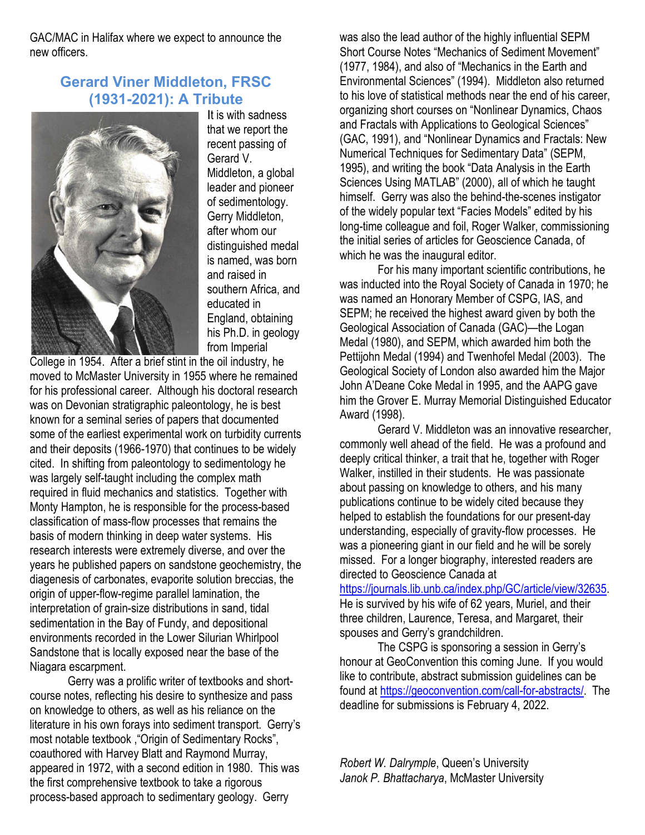GAC/MAC in Halifax where we expect to announce the new officers.

# **Gerard Viner Middleton, FRSC (1931-2021): A Tribute**



It is with sadness that we report the recent passing of Gerard V. Middleton, a global leader and pioneer of sedimentology. Gerry Middleton, after whom our distinguished medal is named, was born and raised in southern Africa, and educated in England, obtaining his Ph.D. in geology from Imperial

College in 1954. After a brief stint in the oil industry, he moved to McMaster University in 1955 where he remained for his professional career. Although his doctoral research was on Devonian stratigraphic paleontology, he is best known for a seminal series of papers that documented some of the earliest experimental work on turbidity currents and their deposits (1966-1970) that continues to be widely cited. In shifting from paleontology to sedimentology he was largely self-taught including the complex math required in fluid mechanics and statistics. Together with Monty Hampton, he is responsible for the process-based classification of mass-flow processes that remains the basis of modern thinking in deep water systems. His research interests were extremely diverse, and over the years he published papers on sandstone geochemistry, the diagenesis of carbonates, evaporite solution breccias, the origin of upper-flow-regime parallel lamination, the interpretation of grain-size distributions in sand, tidal sedimentation in the Bay of Fundy, and depositional environments recorded in the Lower Silurian Whirlpool Sandstone that is locally exposed near the base of the Niagara escarpment.

Gerry was a prolific writer of textbooks and shortcourse notes, reflecting his desire to synthesize and pass on knowledge to others, as well as his reliance on the literature in his own forays into sediment transport. Gerry's most notable textbook ,"Origin of Sedimentary Rocks", coauthored with Harvey Blatt and Raymond Murray, appeared in 1972, with a second edition in 1980. This was the first comprehensive textbook to take a rigorous process-based approach to sedimentary geology. Gerry

was also the lead author of the highly influential SEPM Short Course Notes "Mechanics of Sediment Movement" (1977, 1984), and also of "Mechanics in the Earth and Environmental Sciences" (1994). Middleton also returned to his love of statistical methods near the end of his career, organizing short courses on "Nonlinear Dynamics, Chaos and Fractals with Applications to Geological Sciences" (GAC, 1991), and "Nonlinear Dynamics and Fractals: New Numerical Techniques for Sedimentary Data" (SEPM, 1995), and writing the book "Data Analysis in the Earth Sciences Using MATLAB" (2000), all of which he taught himself. Gerry was also the behind-the-scenes instigator of the widely popular text "Facies Models" edited by his long-time colleague and foil, Roger Walker, commissioning the initial series of articles for Geoscience Canada, of which he was the inaugural editor.

For his many important scientific contributions, he was inducted into the Royal Society of Canada in 1970; he was named an Honorary Member of CSPG, IAS, and SEPM; he received the highest award given by both the Geological Association of Canada (GAC)—the Logan Medal (1980), and SEPM, which awarded him both the Pettijohn Medal (1994) and Twenhofel Medal (2003). The Geological Society of London also awarded him the Major John A'Deane Coke Medal in 1995, and the AAPG gave him the Grover E. Murray Memorial Distinguished Educator Award (1998).

Gerard V. Middleton was an innovative researcher, commonly well ahead of the field. He was a profound and deeply critical thinker, a trait that he, together with Roger Walker, instilled in their students. He was passionate about passing on knowledge to others, and his many publications continue to be widely cited because they helped to establish the foundations for our present-day understanding, especially of gravity-flow processes. He was a pioneering giant in our field and he will be sorely missed. For a longer biography, interested readers are directed to Geoscience Canada at

[https://journals.lib.unb.ca/index.php/GC/article/view/32635.](https://journals.lib.unb.ca/index.php/GC/article/view/32635) He is survived by his wife of 62 years, Muriel, and their three children, Laurence, Teresa, and Margaret, their spouses and Gerry's grandchildren.

The CSPG is sponsoring a session in Gerry's honour at GeoConvention this coming June. If you would like to contribute, abstract submission guidelines can be found at [https://geoconvention.com/call-for-abstracts/.](https://geoconvention.com/call-for-abstracts/) The deadline for submissions is February 4, 2022.

*Robert W. Dalrymple*, Queen's University *Janok P. Bhattacharya*, McMaster University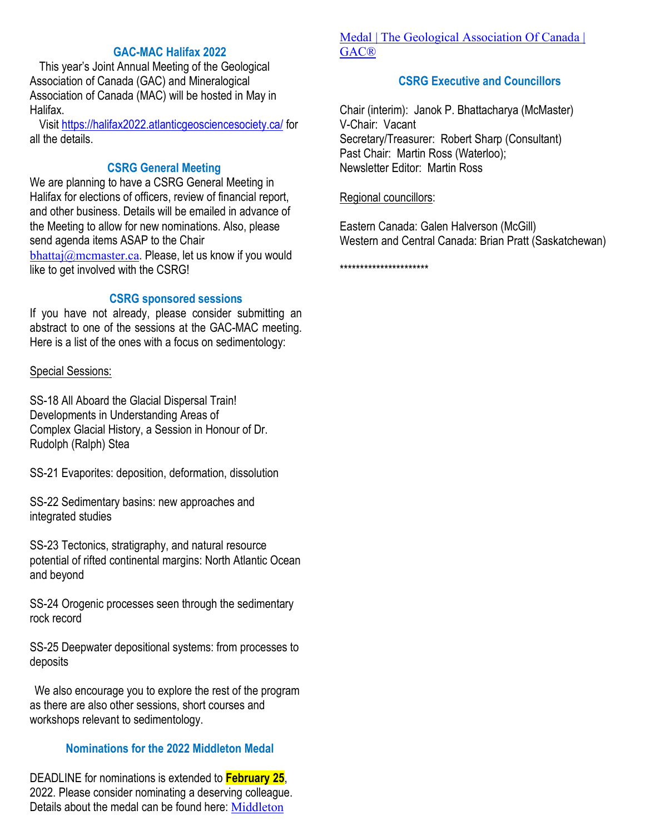# **GAC-MAC Halifax 2022**

This year's Joint Annual Meeting of the Geological Association of Canada (GAC) and Mineralogical Association of Canada (MAC) will be hosted in May in Halifax.

Visit<https://halifax2022.atlanticgeosciencesociety.ca/> for all the details.

# **CSRG General Meeting**

We are planning to have a CSRG General Meeting in Halifax for elections of officers, review of financial report, and other business. Details will be emailed in advance of the Meeting to allow for new nominations. Also, please send agenda items ASAP to the Chair [bhattaj@mcmaster.ca](mailto:bhattaj@mcmaster.ca). Please, let us know if you would like to get involved with the CSRG!

#### **CSRG sponsored sessions**

If you have not already, please consider submitting an abstract to one of the sessions at the GAC-MAC meeting. Here is a list of the ones with a focus on sedimentology:

#### Special Sessions:

SS-18 All Aboard the Glacial Dispersal Train! Developments in Understanding Areas of Complex Glacial History, a Session in Honour of Dr. Rudolph (Ralph) Stea

SS-21 Evaporites: deposition, deformation, dissolution

SS-22 Sedimentary basins: new approaches and integrated studies

SS-23 Tectonics, stratigraphy, and natural resource potential of rifted continental margins: North Atlantic Ocean and beyond

SS-24 Orogenic processes seen through the sedimentary rock record

SS-25 Deepwater depositional systems: from processes to deposits

We also encourage you to explore the rest of the program as there are also other sessions, short courses and workshops relevant to sedimentology.

### **Nominations for the 2022 Middleton Medal**

DEADLINE for nominations is extended to **February 25**, 2022. Please consider nominating a deserving colleague. Details about the medal can be found here: [Middleton](https://gac.ca/about/grants-awards/middleton-medal/) 

# [Medal | The Geological Association Of Canada |](https://gac.ca/about/grants-awards/middleton-medal/)  [GAC®](https://gac.ca/about/grants-awards/middleton-medal/)

# **CSRG Executive and Councillors**

Chair (interim): Janok P. Bhattacharya (McMaster) V-Chair: Vacant Secretary/Treasurer: Robert Sharp (Consultant) Past Chair: Martin Ross (Waterloo); Newsletter Editor: Martin Ross

### Regional councillors:

Eastern Canada: Galen Halverson (McGill) Western and Central Canada: Brian Pratt (Saskatchewan)

\*\*\*\*\*\*\*\*\*\*\*\*\*\*\*\*\*\*\*\*\*\*